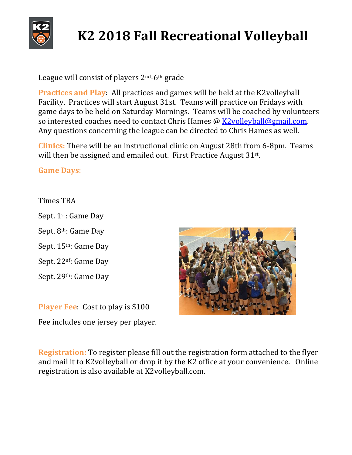

## **K2 2018 Fall Recreational Volleyball**

League will consist of players  $2<sup>nd</sup>$ -6<sup>th</sup> grade

**Practices and Play**: All practices and games will be held at the K2volleyball Facility. Practices will start August 31st. Teams will practice on Fridays with game days to be held on Saturday Mornings. Teams will be coached by volunteers so interested coaches need to contact Chris Hames @  $K2$ volleyball@gmail.com. Any questions concerning the league can be directed to Chris Hames as well.

**Clinics:** There will be an instructional clinic on August 28th from 6-8pm. Teams will then be assigned and emailed out. First Practice August  $31^{st}$ .

**Game Days**:

Times TBA

Sept. 1<sup>st</sup>: Game Day Sept. 8<sup>th</sup>: Game Day Sept. 15<sup>th</sup>: Game Day Sept. 22<sup>nf</sup>: Game Day

Sept. 29th: Game Day

**Player Fee:** Cost to play is \$100 Fee includes one jersey per player.



**Registration:** To register please fill out the registration form attached to the flyer and mail it to K2volleyball or drop it by the K2 office at your convenience. Online registration is also available at K2volleyball.com.